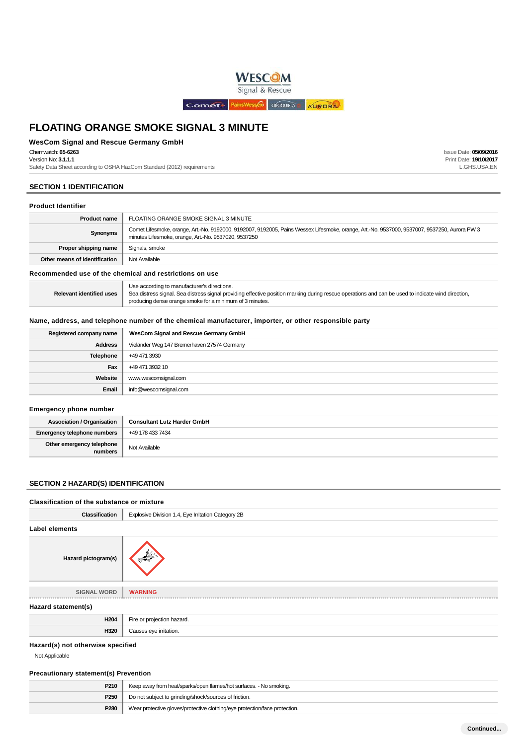

## **WesCom Signal and Rescue Germany GmbH**

Chemwatch: **65-6263**

Version No: **3.1.1.1**

Safety Data Sheet according to OSHA HazCom Standard (2012) requirements

# **SECTION 1 IDENTIFICATION**

#### **Product Identifier**

| <b>Product name</b>           | FLOATING ORANGE SMOKE SIGNAL 3 MINUTE                                                                                                                                                                |  |
|-------------------------------|------------------------------------------------------------------------------------------------------------------------------------------------------------------------------------------------------|--|
| Synonyms                      | Comet Lifesmoke, orange, Art.-No. 9192000, 9192007, 9192005, Pains Wessex Lifesmoke, orange, Art.-No. 9537000, 9537007, 9537250, Aurora PW 3<br>minutes Lifesmoke, orange, Art.-No. 9537020, 9537250 |  |
| Proper shipping name          | Signals, smoke                                                                                                                                                                                       |  |
| Other means of identification | Not Available                                                                                                                                                                                        |  |

**Recommended use of the chemical and restrictions on use**

| <b>Relevant identified uses</b> | Use according to manufacturer's directions.<br>Sea distress signal. Sea distress signal providing effective position marking during rescue operations and can be used to indicate wind direction,<br>producing dense orange smoke for a minimum of 3 minutes. |
|---------------------------------|---------------------------------------------------------------------------------------------------------------------------------------------------------------------------------------------------------------------------------------------------------------|
|---------------------------------|---------------------------------------------------------------------------------------------------------------------------------------------------------------------------------------------------------------------------------------------------------------|

## **Name, address, and telephone number of the chemical manufacturer, importer, or other responsible party**

| Registered company name | WesCom Signal and Rescue Germany GmbH       |
|-------------------------|---------------------------------------------|
| <b>Address</b>          | Vieländer Weg 147 Bremerhaven 27574 Germany |
| Telephone               | +49 471 3930                                |
| Fax                     | +49 471 3932 10                             |
| Website                 | www.wescomsignal.com                        |
| Email                   | info@wescomsignal.com                       |

#### **Emergency phone number**

| <b>Association / Organisation</b>    | <b>Consultant Lutz Harder GmbH</b> |
|--------------------------------------|------------------------------------|
| <b>Emergency telephone numbers</b>   | +49 178 433 7434                   |
| Other emergency telephone<br>numbers | Not Available                      |

# **SECTION 2 HAZARD(S) IDENTIFICATION**

#### **Classification of the substance or mixture**

| Classification      | Explosive Division 1.4, Eye Irritation Category 2B |
|---------------------|----------------------------------------------------|
| Label elements      |                                                    |
| Hazard pictogram(s) |                                                    |
| <b>SIGNAL WORD</b>  | <b>WARNING</b>                                     |
| Hazard statement(s) |                                                    |
| H204                | Fire or projection hazard.                         |
| H320                | Causes eye irritation.                             |

# **Hazard(s) not otherwise specified**

Not Applicable

#### **Precautionary statement(s) Prevention**

| P210             | Keep away from heat/sparks/open flames/hot surfaces. - No smoking.         |
|------------------|----------------------------------------------------------------------------|
| P <sub>250</sub> | Do not subject to grinding/shock/sources of friction.                      |
| P280             | Wear protective gloves/protective clothing/eye protection/face protection. |

Issue Date: **05/09/2016** Print Date: **19/10/2017** L.GHS.USA.EN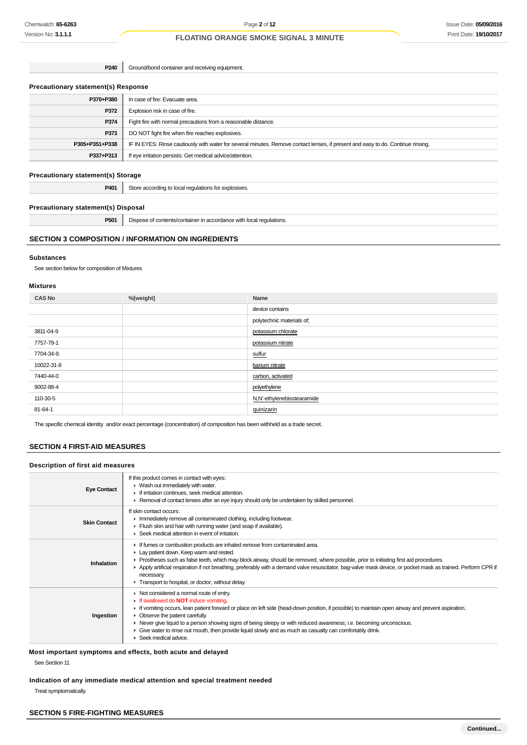**P240** Ground/bond container and receiving equipment.

#### **Precautionary statement(s) Response**

| P370+P380      | In case of fire: Evacuate area.                                                                                                  |  |
|----------------|----------------------------------------------------------------------------------------------------------------------------------|--|
| P372           | Explosion risk in case of fire.                                                                                                  |  |
| P374           | Fight fire with normal precautions from a reasonable distance.                                                                   |  |
| P373           | DO NOT fight fire when fire reaches explosives.                                                                                  |  |
| P305+P351+P338 | IF IN EYES: Rinse cautiously with water for several minutes. Remove contact lenses, if present and easy to do. Continue rinsing. |  |
| P337+P313      | If eye irritation persists: Get medical advice/attention.                                                                        |  |
|                |                                                                                                                                  |  |

# **Precautionary statement(s) Storage**

| DAN' | ster.        |
|------|--------------|
| - w  | <b>Tives</b> |
| .    | $ -$         |
|      |              |

# **Precautionary statement(s) Disposal**

**P501** Dispose of contents/container in accordance with local regulations.

# **SECTION 3 COMPOSITION / INFORMATION ON INGREDIENTS**

#### **Substances**

See section below for composition of Mixtures

# **Mixtures**

| <b>CAS No</b> | %[weight] | Name                       |
|---------------|-----------|----------------------------|
|               |           | device contains            |
|               |           | polytechnic materials of;  |
| 3811-04-9     |           | potassium chlorate         |
| 7757-79-1     |           | potassium nitrate          |
| 7704-34-9.    |           | sulfur                     |
| 10022-31-8    |           | barium nitrate             |
| 7440-44-0     |           | carbon, activated          |
| 9002-88-4     |           | polyethylene               |
| 110-30-5      |           | N,N'-ethylenebisstearamide |
| 81-64-1       |           | guinizarin                 |

The specific chemical identity and/or exact percentage (concentration) of composition has been withheld as a trade secret.

## **SECTION 4 FIRST-AID MEASURES**

# **Description of first aid measures**

| <b>Eye Contact</b>  | If this product comes in contact with eyes:<br>• Wash out immediately with water.<br>If irritation continues, seek medical attention.<br>► Removal of contact lenses after an eye injury should only be undertaken by skilled personnel.                                                                                                                                                                                                                                                                                                      |
|---------------------|-----------------------------------------------------------------------------------------------------------------------------------------------------------------------------------------------------------------------------------------------------------------------------------------------------------------------------------------------------------------------------------------------------------------------------------------------------------------------------------------------------------------------------------------------|
| <b>Skin Contact</b> | If skin contact occurs:<br>Inmediately remove all contaminated clothing, including footwear.<br>Flush skin and hair with running water (and soap if available).<br>▶ Seek medical attention in event of irritation.                                                                                                                                                                                                                                                                                                                           |
| Inhalation          | If fumes or combustion products are inhaled remove from contaminated area.<br>Lay patient down. Keep warm and rested.<br>► Prostheses such as false teeth, which may block airway, should be removed, where possible, prior to initiating first aid procedures.<br>▶ Apply artificial respiration if not breathing, preferably with a demand valve resuscitator, bag-valve mask device, or pocket mask as trained. Perform CPR if<br>necessary.<br>Transport to hospital, or doctor, without delay.                                           |
| Ingestion           | • Not considered a normal route of entry.<br>If swallowed do <b>NOT</b> induce vomiting.<br>If vomiting occurs, lean patient forward or place on left side (head-down position, if possible) to maintain open airway and prevent aspiration.<br>• Observe the patient carefully.<br>► Never give liquid to a person showing signs of being sleepy or with reduced awareness; i.e. becoming unconscious.<br>• Give water to rinse out mouth, then provide liquid slowly and as much as casualty can comfortably drink.<br>Seek medical advice. |

**Most important symptoms and effects, both acute and delayed**

See Section 11

**Indication of any immediate medical attention and special treatment needed**

Treat symptomatically.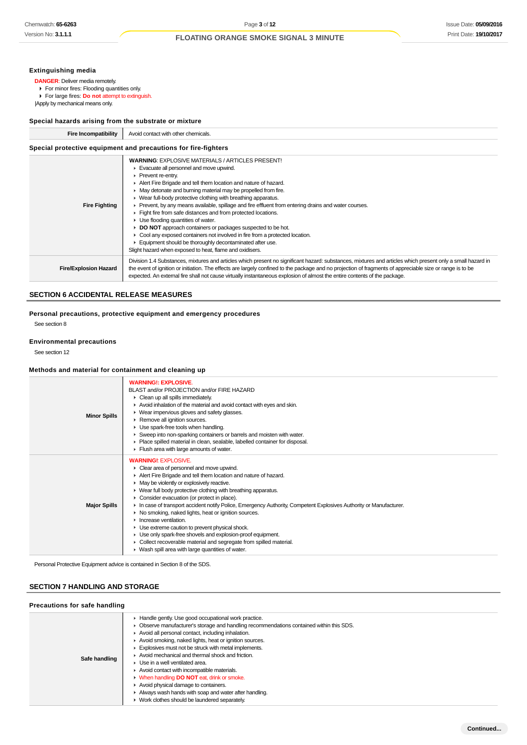# **Extinguishing media**

**DANGER**: Deliver media remotely.

For minor fires: Flooding quantities only.

**For large fires: Do not attempt to extinguish.** |Apply by mechanical means only.

# **Special hazards arising from the substrate or mixture**

| <b>Fire Incompatibility</b>                                    | Avoid contact with other chemicals.                                                                                                                                                                                                                                                                                                                                                                                                                                                                                                                                                                                                                                                                                                                                                                                                           |  |
|----------------------------------------------------------------|-----------------------------------------------------------------------------------------------------------------------------------------------------------------------------------------------------------------------------------------------------------------------------------------------------------------------------------------------------------------------------------------------------------------------------------------------------------------------------------------------------------------------------------------------------------------------------------------------------------------------------------------------------------------------------------------------------------------------------------------------------------------------------------------------------------------------------------------------|--|
| Special protective equipment and precautions for fire-fighters |                                                                                                                                                                                                                                                                                                                                                                                                                                                                                                                                                                                                                                                                                                                                                                                                                                               |  |
| <b>Fire Fighting</b>                                           | <b>WARNING: EXPLOSIVE MATERIALS / ARTICLES PRESENT!</b><br>Evacuate all personnel and move upwind.<br>Prevent re-entry.<br>Alert Fire Brigade and tell them location and nature of hazard.<br>• May detonate and burning material may be propelled from fire.<br>• Wear full-body protective clothing with breathing apparatus.<br>▶ Prevent, by any means available, spillage and fire effluent from entering drains and water courses.<br>Fight fire from safe distances and from protected locations.<br>$\blacktriangleright$ Use flooding quantities of water.<br>▶ DO NOT approach containers or packages suspected to be hot.<br>► Cool any exposed containers not involved in fire from a protected location.<br>Equipment should be thoroughly decontaminated after use.<br>Slight hazard when exposed to heat, flame and oxidisers. |  |
| <b>Fire/Explosion Hazard</b>                                   | Division 1.4 Substances, mixtures and articles which present no significant hazard: substances, mixtures and articles which present only a small hazard in<br>the event of ignition or initiation. The effects are largely confined to the package and no projection of fragments of appreciable size or range is to be<br>expected. An external fire shall not cause virtually instantaneous explosion of almost the entire contents of the package.                                                                                                                                                                                                                                                                                                                                                                                         |  |

# **SECTION 6 ACCIDENTAL RELEASE MEASURES**

# **Personal precautions, protective equipment and emergency procedures**

See section 8

#### **Environmental precautions**

See section 12

#### **Methods and material for containment and cleaning up**

| <b>Minor Spills</b> | <b>WARNING!: EXPLOSIVE.</b><br>BLAST and/or PROJECTION and/or FIRE HAZARD<br>• Clean up all spills immediately.<br>Avoid inhalation of the material and avoid contact with eyes and skin.<br>▶ Wear impervious gloves and safety glasses.<br>Remove all ignition sources.<br>Use spark-free tools when handling.<br>Sweep into non-sparking containers or barrels and moisten with water.<br>Place spilled material in clean, sealable, labelled container for disposal.<br>Fiush area with large amounts of water.                                                                                                                                                                                                                                                                                            |
|---------------------|----------------------------------------------------------------------------------------------------------------------------------------------------------------------------------------------------------------------------------------------------------------------------------------------------------------------------------------------------------------------------------------------------------------------------------------------------------------------------------------------------------------------------------------------------------------------------------------------------------------------------------------------------------------------------------------------------------------------------------------------------------------------------------------------------------------|
| <b>Major Spills</b> | <b>WARNING!: EXPLOSIVE.</b><br>• Clear area of personnel and move upwind.<br>Alert Fire Brigade and tell them location and nature of hazard.<br>• May be violently or explosively reactive.<br>• Wear full body protective clothing with breathing apparatus.<br>• Consider evacuation (or protect in place).<br>In case of transport accident notify Police, Emergency Authority, Competent Explosives Authority or Manufacturer.<br>▶ No smoking, naked lights, heat or ignition sources.<br>$\blacktriangleright$ Increase ventilation.<br>• Use extreme caution to prevent physical shock.<br>• Use only spark-free shovels and explosion-proof equipment.<br>• Collect recoverable material and segregate from spilled material.<br>$\blacktriangleright$ Wash spill area with large quantities of water. |

Personal Protective Equipment advice is contained in Section 8 of the SDS.

# **SECTION 7 HANDLING AND STORAGE**

| Precautions for safe handling |                                                                                                                                                                                                                                                                                                                                                                                                                                                                                                                                                                                                                                                                                         |
|-------------------------------|-----------------------------------------------------------------------------------------------------------------------------------------------------------------------------------------------------------------------------------------------------------------------------------------------------------------------------------------------------------------------------------------------------------------------------------------------------------------------------------------------------------------------------------------------------------------------------------------------------------------------------------------------------------------------------------------|
| Safe handling                 | Handle gently. Use good occupational work practice.<br>Observe manufacturer's storage and handling recommendations contained within this SDS.<br>Avoid all personal contact, including inhalation.<br>Avoid smoking, naked lights, heat or ignition sources.<br>Explosives must not be struck with metal implements.<br>Avoid mechanical and thermal shock and friction.<br>$\blacktriangleright$ Use in a well ventilated area.<br>Avoid contact with incompatible materials.<br>• When handling <b>DO NOT</b> eat, drink or smoke.<br>Avoid physical damage to containers.<br>Always wash hands with soap and water after handling.<br>▶ Work clothes should be laundered separately. |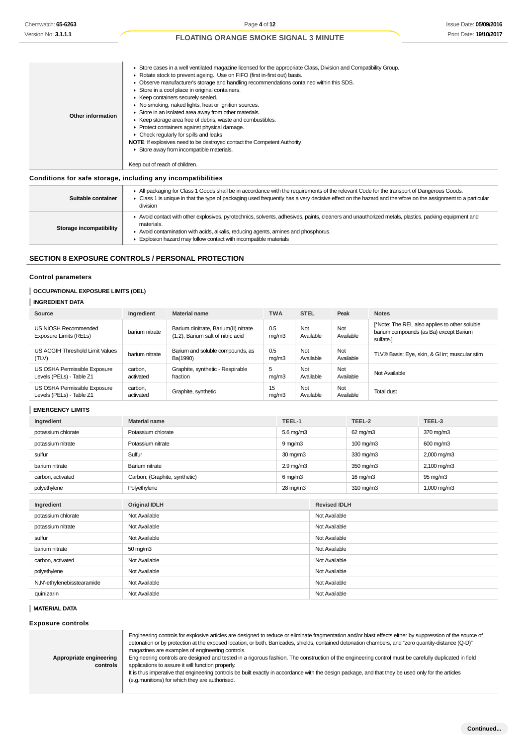# **Conditions for safe storage, including any incompatibilities**

| Suitable container      | All packaging for Class 1 Goods shall be in accordance with the requirements of the relevant Code for the transport of Dangerous Goods.<br>► Class 1 is unique in that the type of packaging used frequently has a very decisive effect on the hazard and therefore on the assignment to a particular<br>division        |
|-------------------------|--------------------------------------------------------------------------------------------------------------------------------------------------------------------------------------------------------------------------------------------------------------------------------------------------------------------------|
| Storage incompatibility | ▶ Avoid contact with other explosives, pyrotechnics, solvents, adhesives, paints, cleaners and unauthorized metals, plastics, packing equipment and<br>materials.<br>Avoid contamination with acids, alkalis, reducing agents, amines and phosphorus.<br>Explosion hazard may follow contact with incompatible materials |

# **SECTION 8 EXPOSURE CONTROLS / PERSONAL PROTECTION**

# **Control parameters**

# **OCCUPATIONAL EXPOSURE LIMITS (OEL)**

# **INGREDIENT DATA**

| Source                                                   | Ingredient           | <b>Material name</b>                                                      | <b>TWA</b>   | <b>STEL</b>      | Peak             | <b>Notes</b>                                                                                         |
|----------------------------------------------------------|----------------------|---------------------------------------------------------------------------|--------------|------------------|------------------|------------------------------------------------------------------------------------------------------|
| US NIOSH Recommended<br>Exposure Limits (RELs)           | barium nitrate       | Barium dinitrate, Barium(II) nitrate<br>(1:2), Barium salt of nitric acid | 0.5<br>mq/m3 | Not<br>Available | Not<br>Available | [*Note: The REL also applies to other soluble<br>barium compounds (as Ba) except Barium<br>sulfate.] |
| US ACGIH Threshold Limit Values<br>(TLV)                 | barium nitrate       | Barium and soluble compounds, as<br>Ba(1990)                              | 0.5<br>mq/m3 | Not<br>Available | Not<br>Available | TLV® Basis: Eye, skin, & GI irr; muscular stim                                                       |
| US OSHA Permissible Exposure<br>Levels (PELs) - Table Z1 | carbon.<br>activated | Graphite, synthetic - Respirable<br>fraction                              | 5<br>mq/m3   | Not<br>Available | Not<br>Available | Not Available                                                                                        |
| US OSHA Permissible Exposure<br>Levels (PELs) - Table Z1 | carbon,<br>activated | Graphite, synthetic                                                       | 15<br>mq/m3  | Not<br>Available | Not<br>Available | Total dust                                                                                           |

#### **EMERGENCY LIMITS**

| Chemwatch: 65-6263                                                                               |                                                                                                                                                                                                                                                                                                                                                                                                                                                                                                                                                                                                                                                                                                                                                                                                                      | Page 4 of 12                                                                                                                                                                                                                                                                                                                                                                                                                                                                                                                                                                                                                                                                                                                                                                                |              |                |                  |                                                                    |                                                                                                      |               |        | <b>Issue Date: 05/09/20</b> |
|--------------------------------------------------------------------------------------------------|----------------------------------------------------------------------------------------------------------------------------------------------------------------------------------------------------------------------------------------------------------------------------------------------------------------------------------------------------------------------------------------------------------------------------------------------------------------------------------------------------------------------------------------------------------------------------------------------------------------------------------------------------------------------------------------------------------------------------------------------------------------------------------------------------------------------|---------------------------------------------------------------------------------------------------------------------------------------------------------------------------------------------------------------------------------------------------------------------------------------------------------------------------------------------------------------------------------------------------------------------------------------------------------------------------------------------------------------------------------------------------------------------------------------------------------------------------------------------------------------------------------------------------------------------------------------------------------------------------------------------|--------------|----------------|------------------|--------------------------------------------------------------------|------------------------------------------------------------------------------------------------------|---------------|--------|-----------------------------|
| Version No: <b>3.1.1.1</b>                                                                       |                                                                                                                                                                                                                                                                                                                                                                                                                                                                                                                                                                                                                                                                                                                                                                                                                      | <b>FLOATING ORANGE SMOKE SIGNAL 3 MINUTE</b>                                                                                                                                                                                                                                                                                                                                                                                                                                                                                                                                                                                                                                                                                                                                                |              |                |                  |                                                                    |                                                                                                      |               |        | Print Date: 19/10/20        |
| Other information                                                                                | ► Store cases in a well ventilated magazine licensed for the appropriate Class, Division and Compatibility Group.<br>▶ Rotate stock to prevent ageing. Use on FIFO (first in-first out) basis.<br>▶ Observe manufacturer's storage and handling recommendations contained within this SDS.<br>Store in a cool place in original containers.<br>▶ Keep containers securely sealed.<br>• No smoking, naked lights, heat or ignition sources.<br>Store in an isolated area away from other materials.<br>▶ Keep storage area free of debris, waste and combustibles.<br>Protect containers against physical damage.<br>• Check regularly for spills and leaks<br>NOTE: If explosives need to be destroyed contact the Competent Authority.<br>Store away from incompatible materials.<br>Keep out of reach of children. |                                                                                                                                                                                                                                                                                                                                                                                                                                                                                                                                                                                                                                                                                                                                                                                             |              |                |                  |                                                                    |                                                                                                      |               |        |                             |
|                                                                                                  |                                                                                                                                                                                                                                                                                                                                                                                                                                                                                                                                                                                                                                                                                                                                                                                                                      |                                                                                                                                                                                                                                                                                                                                                                                                                                                                                                                                                                                                                                                                                                                                                                                             |              |                |                  |                                                                    |                                                                                                      |               |        |                             |
| Conditions for safe storage, including any incompatibilities                                     |                                                                                                                                                                                                                                                                                                                                                                                                                                                                                                                                                                                                                                                                                                                                                                                                                      |                                                                                                                                                                                                                                                                                                                                                                                                                                                                                                                                                                                                                                                                                                                                                                                             |              |                |                  |                                                                    |                                                                                                      |               |        |                             |
| Suitable container                                                                               | division                                                                                                                                                                                                                                                                                                                                                                                                                                                                                                                                                                                                                                                                                                                                                                                                             | All packaging for Class 1 Goods shall be in accordance with the requirements of the relevant Code for the transport of Dangerous Goods.<br>► Class 1 is unique in that the type of packaging used frequently has a very decisive effect on the hazard and therefore on the assignment to a particular                                                                                                                                                                                                                                                                                                                                                                                                                                                                                       |              |                |                  |                                                                    |                                                                                                      |               |        |                             |
| Storage incompatibility                                                                          | materials.                                                                                                                                                                                                                                                                                                                                                                                                                                                                                                                                                                                                                                                                                                                                                                                                           | ► Avoid contact with other explosives, pyrotechnics, solvents, adhesives, paints, cleaners and unauthorized metals, plastics, packing equipment and<br>Avoid contamination with acids, alkalis, reducing agents, amines and phosphorus.<br>Explosion hazard may follow contact with incompatible materials                                                                                                                                                                                                                                                                                                                                                                                                                                                                                  |              |                |                  |                                                                    |                                                                                                      |               |        |                             |
| <b>SECTION 8 EXPOSURE CONTROLS / PERSONAL PROTECTION</b>                                         |                                                                                                                                                                                                                                                                                                                                                                                                                                                                                                                                                                                                                                                                                                                                                                                                                      |                                                                                                                                                                                                                                                                                                                                                                                                                                                                                                                                                                                                                                                                                                                                                                                             |              |                |                  |                                                                    |                                                                                                      |               |        |                             |
| <b>Control parameters</b><br><b>OCCUPATIONAL EXPOSURE LIMITS (OEL)</b><br><b>INGREDIENT DATA</b> |                                                                                                                                                                                                                                                                                                                                                                                                                                                                                                                                                                                                                                                                                                                                                                                                                      |                                                                                                                                                                                                                                                                                                                                                                                                                                                                                                                                                                                                                                                                                                                                                                                             |              |                |                  |                                                                    |                                                                                                      |               |        |                             |
| <b>Source</b>                                                                                    | Ingredient                                                                                                                                                                                                                                                                                                                                                                                                                                                                                                                                                                                                                                                                                                                                                                                                           | <b>Material name</b>                                                                                                                                                                                                                                                                                                                                                                                                                                                                                                                                                                                                                                                                                                                                                                        | <b>TWA</b>   |                | <b>STEL</b>      | Peak                                                               |                                                                                                      | <b>Notes</b>  |        |                             |
| US NIOSH Recommended<br>Exposure Limits (RELs)                                                   | barium nitrate                                                                                                                                                                                                                                                                                                                                                                                                                                                                                                                                                                                                                                                                                                                                                                                                       | Barium dinitrate, Barium(II) nitrate<br>(1:2), Barium salt of nitric acid                                                                                                                                                                                                                                                                                                                                                                                                                                                                                                                                                                                                                                                                                                                   | 0.5<br>mg/m3 |                | Not<br>Available | Not<br>Available                                                   | [*Note: The REL also applies to other soluble<br>barium compounds (as Ba) except Barium<br>sulfate.] |               |        |                             |
| US ACGIH Threshold Limit Values<br>(TLV)                                                         | barium nitrate                                                                                                                                                                                                                                                                                                                                                                                                                                                                                                                                                                                                                                                                                                                                                                                                       | Barium and soluble compounds, as<br>Ba(1990)                                                                                                                                                                                                                                                                                                                                                                                                                                                                                                                                                                                                                                                                                                                                                | 0.5<br>mg/m3 |                | Not<br>Available | Not<br>TLV® Basis: Eye, skin, & GI irr; muscular stim<br>Available |                                                                                                      |               |        |                             |
| US OSHA Permissible Exposure<br>Levels (PELs) - Table Z1                                         | carbon,<br>activated                                                                                                                                                                                                                                                                                                                                                                                                                                                                                                                                                                                                                                                                                                                                                                                                 | Graphite, synthetic - Respirable<br>fraction                                                                                                                                                                                                                                                                                                                                                                                                                                                                                                                                                                                                                                                                                                                                                | 5<br>mg/m3   |                | Not<br>Available | Not<br>Available                                                   |                                                                                                      | Not Available |        |                             |
| US OSHA Permissible Exposure<br>Levels (PELs) - Table Z1                                         | 15<br>carbon,<br>Not<br>Not<br>Graphite, synthetic<br><b>Total dust</b><br>activated<br>Available<br>Available<br>mg/m3                                                                                                                                                                                                                                                                                                                                                                                                                                                                                                                                                                                                                                                                                              |                                                                                                                                                                                                                                                                                                                                                                                                                                                                                                                                                                                                                                                                                                                                                                                             |              |                |                  |                                                                    |                                                                                                      |               |        |                             |
| <b>EMERGENCY LIMITS</b>                                                                          |                                                                                                                                                                                                                                                                                                                                                                                                                                                                                                                                                                                                                                                                                                                                                                                                                      |                                                                                                                                                                                                                                                                                                                                                                                                                                                                                                                                                                                                                                                                                                                                                                                             |              |                |                  |                                                                    |                                                                                                      |               |        |                             |
| Ingredient                                                                                       | <b>Material name</b>                                                                                                                                                                                                                                                                                                                                                                                                                                                                                                                                                                                                                                                                                                                                                                                                 |                                                                                                                                                                                                                                                                                                                                                                                                                                                                                                                                                                                                                                                                                                                                                                                             |              | TEEL-1         |                  |                                                                    | TEEL-2                                                                                               |               | TEEL-3 |                             |
| potassium chlorate                                                                               | Potassium chlorate                                                                                                                                                                                                                                                                                                                                                                                                                                                                                                                                                                                                                                                                                                                                                                                                   |                                                                                                                                                                                                                                                                                                                                                                                                                                                                                                                                                                                                                                                                                                                                                                                             |              | $5.6$ mg/m $3$ |                  |                                                                    | 62 mg/m3                                                                                             |               |        | 370 mg/m3                   |
| potassium nitrate                                                                                | Potassium nitrate                                                                                                                                                                                                                                                                                                                                                                                                                                                                                                                                                                                                                                                                                                                                                                                                    |                                                                                                                                                                                                                                                                                                                                                                                                                                                                                                                                                                                                                                                                                                                                                                                             |              | $9$ mg/m $3$   |                  |                                                                    | $100 \text{ mg/m}$                                                                                   |               |        | 600 mg/m3                   |
| sulfur                                                                                           | Sulfur                                                                                                                                                                                                                                                                                                                                                                                                                                                                                                                                                                                                                                                                                                                                                                                                               |                                                                                                                                                                                                                                                                                                                                                                                                                                                                                                                                                                                                                                                                                                                                                                                             |              | 30 mg/m3       |                  |                                                                    | 330 mg/m3                                                                                            |               |        | 2,000 mg/m3                 |
| barium nitrate                                                                                   | Barium nitrate                                                                                                                                                                                                                                                                                                                                                                                                                                                                                                                                                                                                                                                                                                                                                                                                       |                                                                                                                                                                                                                                                                                                                                                                                                                                                                                                                                                                                                                                                                                                                                                                                             |              | $2.9$ mg/m $3$ |                  |                                                                    | 350 mg/m3                                                                                            |               |        | 2,100 mg/m3                 |
| carbon, activated                                                                                | Carbon; (Graphite, synthetic)                                                                                                                                                                                                                                                                                                                                                                                                                                                                                                                                                                                                                                                                                                                                                                                        |                                                                                                                                                                                                                                                                                                                                                                                                                                                                                                                                                                                                                                                                                                                                                                                             |              | $6$ mg/m $3$   |                  |                                                                    | 16 mg/m3                                                                                             |               |        | 95 mg/m3                    |
| polyethylene                                                                                     | Polyethylene                                                                                                                                                                                                                                                                                                                                                                                                                                                                                                                                                                                                                                                                                                                                                                                                         |                                                                                                                                                                                                                                                                                                                                                                                                                                                                                                                                                                                                                                                                                                                                                                                             |              | 28 mg/m3       |                  |                                                                    | 310 mg/m3                                                                                            |               |        | 1,000 mg/m3                 |
| Ingredient                                                                                       | Original IDLH                                                                                                                                                                                                                                                                                                                                                                                                                                                                                                                                                                                                                                                                                                                                                                                                        |                                                                                                                                                                                                                                                                                                                                                                                                                                                                                                                                                                                                                                                                                                                                                                                             |              |                |                  | <b>Revised IDLH</b>                                                |                                                                                                      |               |        |                             |
| potassium chlorate                                                                               | Not Available                                                                                                                                                                                                                                                                                                                                                                                                                                                                                                                                                                                                                                                                                                                                                                                                        |                                                                                                                                                                                                                                                                                                                                                                                                                                                                                                                                                                                                                                                                                                                                                                                             |              |                | Not Available    |                                                                    |                                                                                                      |               |        |                             |
| potassium nitrate                                                                                | Not Available                                                                                                                                                                                                                                                                                                                                                                                                                                                                                                                                                                                                                                                                                                                                                                                                        |                                                                                                                                                                                                                                                                                                                                                                                                                                                                                                                                                                                                                                                                                                                                                                                             |              |                |                  | Not Available                                                      |                                                                                                      |               |        |                             |
| sulfur                                                                                           | Not Available                                                                                                                                                                                                                                                                                                                                                                                                                                                                                                                                                                                                                                                                                                                                                                                                        |                                                                                                                                                                                                                                                                                                                                                                                                                                                                                                                                                                                                                                                                                                                                                                                             |              |                |                  | Not Available                                                      |                                                                                                      |               |        |                             |
| barium nitrate                                                                                   | $50 \text{ mg/m}$ 3<br>Not Available                                                                                                                                                                                                                                                                                                                                                                                                                                                                                                                                                                                                                                                                                                                                                                                 |                                                                                                                                                                                                                                                                                                                                                                                                                                                                                                                                                                                                                                                                                                                                                                                             |              |                |                  |                                                                    |                                                                                                      |               |        |                             |
| carbon, activated                                                                                | Not Available<br>Not Available                                                                                                                                                                                                                                                                                                                                                                                                                                                                                                                                                                                                                                                                                                                                                                                       |                                                                                                                                                                                                                                                                                                                                                                                                                                                                                                                                                                                                                                                                                                                                                                                             |              |                |                  |                                                                    |                                                                                                      |               |        |                             |
| polyethylene                                                                                     | Not Available                                                                                                                                                                                                                                                                                                                                                                                                                                                                                                                                                                                                                                                                                                                                                                                                        |                                                                                                                                                                                                                                                                                                                                                                                                                                                                                                                                                                                                                                                                                                                                                                                             |              |                |                  | Not Available                                                      |                                                                                                      |               |        |                             |
| N,N'-ethylenebisstearamide                                                                       | Not Available                                                                                                                                                                                                                                                                                                                                                                                                                                                                                                                                                                                                                                                                                                                                                                                                        | Not Available                                                                                                                                                                                                                                                                                                                                                                                                                                                                                                                                                                                                                                                                                                                                                                               |              |                |                  |                                                                    |                                                                                                      |               |        |                             |
| quinizarin                                                                                       | Not Available<br>Not Available                                                                                                                                                                                                                                                                                                                                                                                                                                                                                                                                                                                                                                                                                                                                                                                       |                                                                                                                                                                                                                                                                                                                                                                                                                                                                                                                                                                                                                                                                                                                                                                                             |              |                |                  |                                                                    |                                                                                                      |               |        |                             |
| <b>MATERIAL DATA</b>                                                                             |                                                                                                                                                                                                                                                                                                                                                                                                                                                                                                                                                                                                                                                                                                                                                                                                                      |                                                                                                                                                                                                                                                                                                                                                                                                                                                                                                                                                                                                                                                                                                                                                                                             |              |                |                  |                                                                    |                                                                                                      |               |        |                             |
| <b>Exposure controls</b>                                                                         |                                                                                                                                                                                                                                                                                                                                                                                                                                                                                                                                                                                                                                                                                                                                                                                                                      |                                                                                                                                                                                                                                                                                                                                                                                                                                                                                                                                                                                                                                                                                                                                                                                             |              |                |                  |                                                                    |                                                                                                      |               |        |                             |
| Appropriate engineering<br>controls                                                              |                                                                                                                                                                                                                                                                                                                                                                                                                                                                                                                                                                                                                                                                                                                                                                                                                      | Engineering controls for explosive articles are designed to reduce or eliminate fragmentation and/or blast effects either by suppression of the source of<br>detonation or by protection at the exposed location, or both. Barricades, shields, contained detonation chambers, and "zero quantity-distance (Q-D)"<br>magazines are examples of engineering controls.<br>Engineering controls are designed and tested in a rigorous fashion. The construction of the engineering control must be carefully duplicated in field<br>applications to assure it will function properly.<br>It is thus imperative that engineering controls be built exactly in accordance with the design package, and that they be used only for the articles<br>(e.g.munitions) for which they are authorised. |              |                |                  |                                                                    |                                                                                                      |               |        |                             |

#### **MATERIAL DATA**

|                         | Engineering controls for explosive articles are designed to reduce or eliminate fragmentation and/or blast effects either by suppression of the source of<br>detonation or by protection at the exposed location, or both. Barricades, shields, contained detonation chambers, and "zero quantity-distance (Q-D)"<br>magazines are examples of engineering controls. |
|-------------------------|----------------------------------------------------------------------------------------------------------------------------------------------------------------------------------------------------------------------------------------------------------------------------------------------------------------------------------------------------------------------|
| Appropriate engineering | Engineering controls are designed and tested in a rigorous fashion. The construction of the engineering control must be carefully duplicated in field                                                                                                                                                                                                                |
| controls                | applications to assure it will function properly.                                                                                                                                                                                                                                                                                                                    |
|                         | It is thus imperative that engineering controls be built exactly in accordance with the design package, and that they be used only for the articles                                                                                                                                                                                                                  |
|                         | (e.g. munitions) for which they are authorised.                                                                                                                                                                                                                                                                                                                      |
|                         |                                                                                                                                                                                                                                                                                                                                                                      |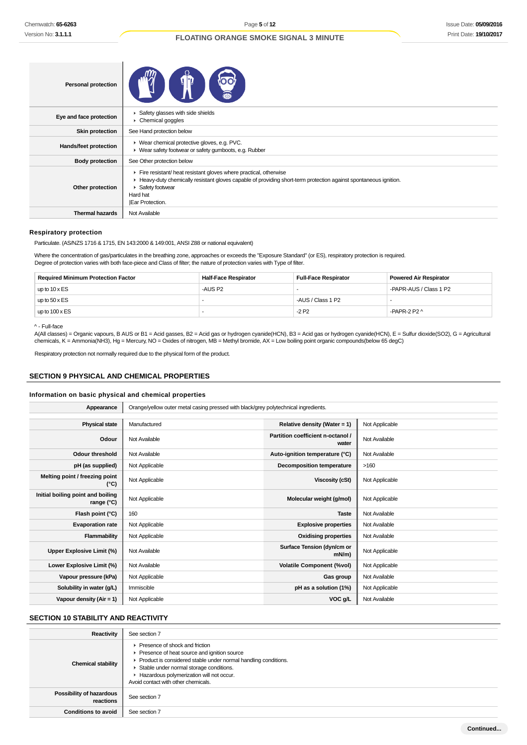| <b>Personal protection</b> |                                                                                                                                                                                                                                       |
|----------------------------|---------------------------------------------------------------------------------------------------------------------------------------------------------------------------------------------------------------------------------------|
| Eye and face protection    | Safety glasses with side shields<br>Chemical goggles                                                                                                                                                                                  |
| <b>Skin protection</b>     | See Hand protection below                                                                                                                                                                                                             |
| Hands/feet protection      | ▶ Wear chemical protective gloves, e.g. PVC.<br>▶ Wear safety footwear or safety gumboots, e.g. Rubber                                                                                                                                |
| <b>Body protection</b>     | See Other protection below                                                                                                                                                                                                            |
| Other protection           | Fire resistant/ heat resistant gloves where practical, otherwise<br>Heavy-duty chemically resistant gloves capable of providing short-term protection against spontaneous ignition.<br>Safety footwear<br>Hard hat<br>Ear Protection. |
| <b>Thermal hazards</b>     | Not Available                                                                                                                                                                                                                         |

#### **Respiratory protection**

Particulate. (AS/NZS 1716 & 1715, EN 143:2000 & 149:001, ANSI Z88 or national equivalent)

Ť

Where the concentration of gas/particulates in the breathing zone, approaches or exceeds the "Exposure Standard" (or ES), respiratory protection is required. Degree of protection varies with both face-piece and Class of filter; the nature of protection varies with Type of filter.

| <b>Required Minimum Protection Factor</b> | <b>Half-Face Respirator</b> | <b>Full-Face Respirator</b> | <b>Powered Air Respirator</b> |
|-------------------------------------------|-----------------------------|-----------------------------|-------------------------------|
| up to $10 \times ES$                      | -AUS P2                     |                             | -PAPR-AUS / Class 1 P2        |
| up to $50 \times ES$                      |                             | -AUS / Class 1 P2           |                               |
| up to $100 \times ES$                     |                             | $-2P2$                      | -PAPR-2 P2 $\land$            |

^ - Full-face

A(All classes) = Organic vapours, B AUS or B1 = Acid gasses, B2 = Acid gas or hydrogen cyanide(HCN), B3 = Acid gas or hydrogen cyanide(HCN), E = Sulfur dioxide(SO2), G = Agricultural chemicals, K = Ammonia(NH3), Hg = Mercury, NO = Oxides of nitrogen, MB = Methyl bromide, AX = Low boiling point organic compounds(below 65 degC)

Respiratory protection not normally required due to the physical form of the product.

# **SECTION 9 PHYSICAL AND CHEMICAL PROPERTIES**

## **Information on basic physical and chemical properties**

| Appearance                                      | Orange/yellow outer metal casing pressed with black/grey polytechnical ingredients. |                                            |                |  |  |
|-------------------------------------------------|-------------------------------------------------------------------------------------|--------------------------------------------|----------------|--|--|
|                                                 |                                                                                     |                                            |                |  |  |
| <b>Physical state</b>                           | Manufactured                                                                        | Relative density (Water = 1)               | Not Applicable |  |  |
| Odour                                           | Not Available                                                                       | Partition coefficient n-octanol /<br>water | Not Available  |  |  |
| <b>Odour threshold</b>                          | Not Available                                                                       | Auto-ignition temperature (°C)             | Not Available  |  |  |
| pH (as supplied)                                | Not Applicable                                                                      | <b>Decomposition temperature</b>           | >160           |  |  |
| Melting point / freezing point<br>(°C)          | Not Applicable                                                                      | Viscosity (cSt)                            | Not Applicable |  |  |
| Initial boiling point and boiling<br>range (°C) | Not Applicable                                                                      | Molecular weight (g/mol)                   | Not Applicable |  |  |
| Flash point (°C)                                | 160                                                                                 | <b>Taste</b>                               | Not Available  |  |  |
| <b>Evaporation rate</b>                         | Not Applicable                                                                      | <b>Explosive properties</b>                | Not Available  |  |  |
| Flammability                                    | Not Applicable                                                                      | <b>Oxidising properties</b>                | Not Available  |  |  |
| Upper Explosive Limit (%)                       | Not Available                                                                       | Surface Tension (dyn/cm or<br>$mN/m$ )     | Not Applicable |  |  |
| Lower Explosive Limit (%)                       | Not Available                                                                       | <b>Volatile Component (%vol)</b>           | Not Applicable |  |  |
| Vapour pressure (kPa)                           | Not Applicable                                                                      | Gas group                                  | Not Available  |  |  |
| Solubility in water (g/L)                       | Immiscible                                                                          | pH as a solution (1%)                      | Not Applicable |  |  |
| Vapour density (Air = 1)                        | Not Applicable                                                                      | VOC g/L                                    | Not Available  |  |  |

# **SECTION 10 STABILITY AND REACTIVITY**

| Reactivity                                   | See section 7                                                                                                                                                                                                                                                                   |
|----------------------------------------------|---------------------------------------------------------------------------------------------------------------------------------------------------------------------------------------------------------------------------------------------------------------------------------|
| <b>Chemical stability</b>                    | ▶ Presence of shock and friction<br>Presence of heat source and ignition source<br>Product is considered stable under normal handling conditions.<br>Stable under normal storage conditions.<br>Hazardous polymerization will not occur.<br>Avoid contact with other chemicals. |
| <b>Possibility of hazardous</b><br>reactions | See section 7                                                                                                                                                                                                                                                                   |
| <b>Conditions to avoid</b>                   | See section 7                                                                                                                                                                                                                                                                   |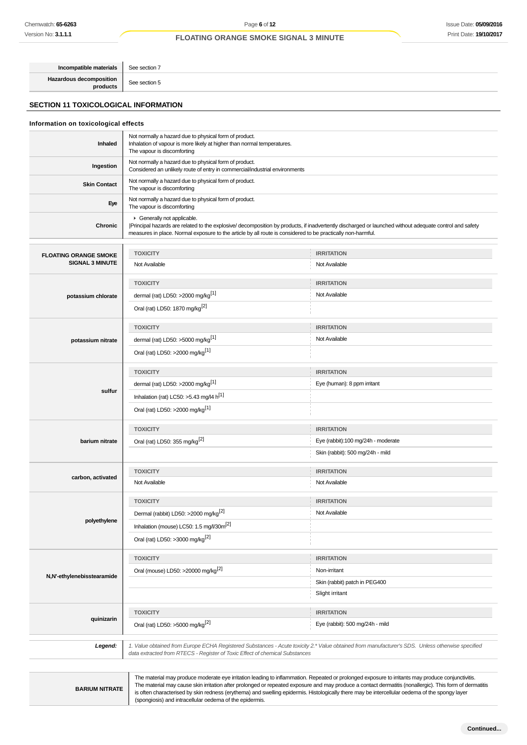**Incompatible materials** See section 7 **Hazardous decomposition**

**products** See section 5

# **SECTION 11 TOXICOLOGICAL INFORMATION**

# **Information on toxicological effects Inhaled** Not normally a hazard due to physical form of product. Inhalation of vapour is more likely at higher than normal temperatures. The vapour is discomforting **Ingestion** Not normally a hazard due to physical form of product. Considered an unlikely route of entry in commercial/industrial environments **Skin Contact** Not normally a hazard due to physical form of product. The vapour is discomforting **Eye** Not normally a hazard due to physical form of product. The vapour is discomforting **Chronic** Generally not applicable. |Principal hazards are related to the explosive/ decomposition by products, if inadvertently discharged or launched without adequate control and safety measures in place. Normal exposure to the article by all route is considered to be practically non-harmful. **FLOATING ORANGE SMOKE SIGNAL 3 MINUTE TOXICITY IRRITATION** Not Available Not Available **potassium chlorate TOXICITY IRRITATION** dermal (rat) LD50: >2000 mg/kg<sup>[1]</sup> Not Available Oral (rat) LD50: 1870 mg/kg[2] **potassium nitrate TOXICITY IRRITATION** dermal (rat) LD50:  $>5000$  mg/kg<sup>[1]</sup> Not Available Oral (rat) LD50: >2000 mg/kg[1] **sulfur TOXICITY IRRITATION** dermal (rat) LD50: >2000 mg/kg<sup>[1]</sup> exercise to the state of the state of the state of the state of the state of the state of the state of the state of the state of the state of the state of the state of the state of the s Inhalation (rat) LC50:  $>5.43$  mg/l4 h<sup>[1]</sup> Oral (rat) LD50: >2000 mg/kg[1] **barium nitrate TOXICITY IRRITATION** Oral (rat) LD50: 355 mg/kg<sup>[2]</sup> exercise the contract Eye (rabbit):100 mg/24h - moderate Skin (rabbit): 500 mg/24h - mild **carbon, activated TOXICITY IRRITATION** Not Available Not Available **polyethylene TOXICITY IRRITATION** Dermal (rabbit) LD50:  $>2000$  mg/kg<sup>[2]</sup> Not Available Inhalation (mouse) LC50: 1.5 mg/l/30m<sup>[2]</sup> Oral (rat) LD50: >3000 mg/kg[2] **N,N'-ethylenebisstearamide TOXICITY IRRITATION** Oral (mouse) LD50: >20000 mg/kg<sup>[2]</sup> Non-irritant Skin (rabbit) patch in PEG400 Slight irritant **quinizarin TOXICITY IRRITATION** Oral (rat) LD50: >5000 mg/kg<sup>[2]</sup> execution of the state of the state of the state of the state of the state of the state of the state of the state of the state of the state of the state of the state of the state of the st **Legend:** 1. Value obtained from Europe ECHA Registered Substances - Acute toxicity 2.\* Value obtained from manufacturer's SDS. Unless otherwise specified data extracted from RTECS - Register of Toxic Effect of chemical Substances

**BARIUM NITRATE**

The material may produce moderate eye irritation leading to inflammation. Repeated or prolonged exposure to irritants may produce conjunctivitis. The material may cause skin irritation after prolonged or repeated exposure and may produce a contact dermatitis (nonallergic). This form of dermatitis is often characterised by skin redness (erythema) and swelling epidermis. Histologically there may be intercellular oedema of the spongy layer (spongiosis) and intracellular oedema of the epidermis.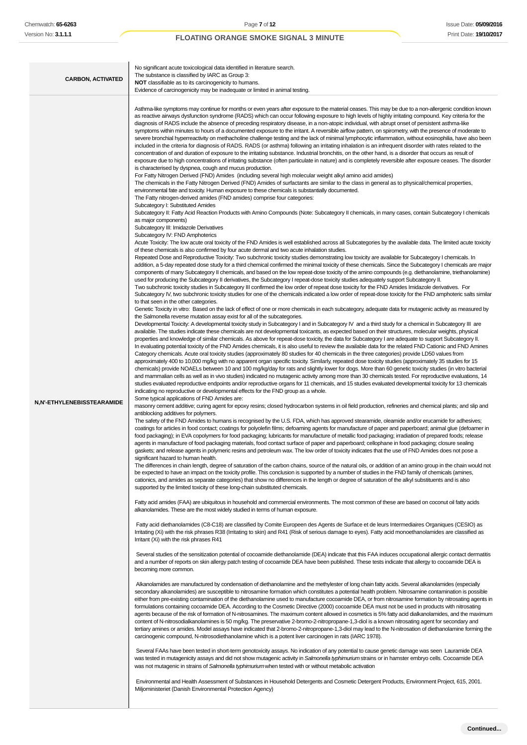| <b>CARBON, ACTIVATED</b>   | No significant acute toxicological data identified in literature search.<br>The substance is classified by IARC as Group 3:<br><b>NOT</b> classifiable as to its carcinogenicity to humans.<br>Evidence of carcinogenicity may be inadequate or limited in animal testing.                                                                                                                                                                                                                                                                                                                                                                                                                                                                                                                                                                                                                                                                                                                                                                                                                                                                                                                                                                                                                                                                                                                                                                                                                                                                                                                                                                                                                                                                                                                                                                                                                                                                                                                                                                                                                                                                                                                                                                                                                                                                                                                                                                                                                                                                                                                                                                                                                                                                                                                                                                                                                                                                                                                                                                                                                                                                                                                                                                                                                                                                                                                                                                                                                                                                                                                                                                                                                                                                                                                                                                                                                                                                                                                                                                                                                                                                                                                                                                                                                                                                                                                                                                                                                                                                                                                                                                                                                                                                                                                                                                                                                                                                                                                                                                                                                                                                                                                                                                                                                                                                                                                                                                                                                                                                                                                                                                                                                                                                                                                                                                                                                                                                                                                                                                                                                                                                                                                                                                                                                                                                                                                                                                                                                                                                                                                                                                                                                                                                                                                                                                                                                                                                                                                                                                                                                                                                                                                                                                                                                                                                                                                                                                                                                                                                                                                                                                                                                                                                                                                                                                                                                                                                                                                                                                                                                                                                                                                                                                                                                                                                                                                                                                                                                                                                                                                                                                                                                                                                                                                                                                                                                                                                                                                                                                                                                                                                                                                                                                                                                                                                                                                                                                                                                                  |
|----------------------------|-------------------------------------------------------------------------------------------------------------------------------------------------------------------------------------------------------------------------------------------------------------------------------------------------------------------------------------------------------------------------------------------------------------------------------------------------------------------------------------------------------------------------------------------------------------------------------------------------------------------------------------------------------------------------------------------------------------------------------------------------------------------------------------------------------------------------------------------------------------------------------------------------------------------------------------------------------------------------------------------------------------------------------------------------------------------------------------------------------------------------------------------------------------------------------------------------------------------------------------------------------------------------------------------------------------------------------------------------------------------------------------------------------------------------------------------------------------------------------------------------------------------------------------------------------------------------------------------------------------------------------------------------------------------------------------------------------------------------------------------------------------------------------------------------------------------------------------------------------------------------------------------------------------------------------------------------------------------------------------------------------------------------------------------------------------------------------------------------------------------------------------------------------------------------------------------------------------------------------------------------------------------------------------------------------------------------------------------------------------------------------------------------------------------------------------------------------------------------------------------------------------------------------------------------------------------------------------------------------------------------------------------------------------------------------------------------------------------------------------------------------------------------------------------------------------------------------------------------------------------------------------------------------------------------------------------------------------------------------------------------------------------------------------------------------------------------------------------------------------------------------------------------------------------------------------------------------------------------------------------------------------------------------------------------------------------------------------------------------------------------------------------------------------------------------------------------------------------------------------------------------------------------------------------------------------------------------------------------------------------------------------------------------------------------------------------------------------------------------------------------------------------------------------------------------------------------------------------------------------------------------------------------------------------------------------------------------------------------------------------------------------------------------------------------------------------------------------------------------------------------------------------------------------------------------------------------------------------------------------------------------------------------------------------------------------------------------------------------------------------------------------------------------------------------------------------------------------------------------------------------------------------------------------------------------------------------------------------------------------------------------------------------------------------------------------------------------------------------------------------------------------------------------------------------------------------------------------------------------------------------------------------------------------------------------------------------------------------------------------------------------------------------------------------------------------------------------------------------------------------------------------------------------------------------------------------------------------------------------------------------------------------------------------------------------------------------------------------------------------------------------------------------------------------------------------------------------------------------------------------------------------------------------------------------------------------------------------------------------------------------------------------------------------------------------------------------------------------------------------------------------------------------------------------------------------------------------------------------------------------------------------------------------------------------------------------------------------------------------------------------------------------------------------------------------------------------------------------------------------------------------------------------------------------------------------------------------------------------------------------------------------------------------------------------------------------------------------------------------------------------------------------------------------------------------------------------------------------------------------------------------------------------------------------------------------------------------------------------------------------------------------------------------------------------------------------------------------------------------------------------------------------------------------------------------------------------------------------------------------------------------------------------------------------------------------------------------------------------------------------------------------------------------------------------------------------------------------------------------------------------------------------------------------------------------------------------------------------------------------------------------------------------------------------------------------------------------------------------------------------------------------------------------------------------------------------------------------------------------------------------------------------------------------------------------------------------------------------------------------------------------------------------------------------------------------------------------------------------------------------------------------------------------------------------------------------------------------------------------------------------------------------------------------------------------------------------------------------------------------------------------------------------------------------------------------------------------------------------------------------------------------------------------------------------------------------------------------------------------------------------------------------------------------------------------------------------------------------------------------------------------------------------------------------------------------------------------------------------------------------------------------------------------------------------------------------------------------------------------------------------------------------------------------------------------------------------------------------------------------------------------------------------------------------------------------------------------------------------------------------------------------------------------------------------------------------------------------------------------------------------------------------------------------------------------------------------------------------------------------------------------------------------------------------------------------------------------------------------------------------------------------------------------------------------------------------------------------------------------------------------------------------------------------------------------------------------------------------------------------------------------------|
| N,N'-ETHYLENEBISSTEARAMIDE | Asthma-like symptoms may continue for months or even years after exposure to the material ceases. This may be due to a non-allergenic condition known<br>as reactive airways dysfunction syndrome (RADS) which can occur following exposure to high levels of highly irritating compound. Key criteria for the<br>diagnosis of RADS include the absence of preceding respiratory disease, in a non-atopic individual, with abrupt onset of persistent asthma-like<br>symptoms within minutes to hours of a documented exposure to the irritant. A reversible airflow pattern, on spirometry, with the presence of moderate to<br>severe bronchial hyperreactivity on methacholine challenge testing and the lack of minimal lymphocytic inflammation, without eosinophilia, have also been<br>included in the criteria for diagnosis of RADS. RADS (or asthma) following an irritating inhalation is an infrequent disorder with rates related to the<br>concentration of and duration of exposure to the irritating substance. Industrial bronchitis, on the other hand, is a disorder that occurs as result of<br>exposure due to high concentrations of irritating substance (often particulate in nature) and is completely reversible after exposure ceases. The disorder<br>is characterised by dyspnea, cough and mucus production.<br>For Fatty Nitrogen Derived (FND) Amides (including several high molecular weight alkyl amino acid amides)<br>The chemicals in the Fatty Nitrogen Derived (FND) Amides of surfactants are similar to the class in general as to physical/chemical properties,<br>environmental fate and toxicity. Human exposure to these chemicals is substantially documented.<br>The Fatty nitrogen-derived amides (FND amides) comprise four categories:<br>Subcategory I: Substituted Amides<br>Subcategory II: Fatty Acid Reaction Products with Amino Compounds (Note: Subcategory II chemicals, in many cases, contain Subcategory I chemicals<br>as major components)<br>Subcategory III: Imidazole Derivatives<br>Subcategory IV: FND Amphoterics<br>Acute Toxicity: The low acute oral toxicity of the FND Amides is well established across all Subcategories by the available data. The limited acute toxicity<br>of these chemicals is also confirmed by four acute dermal and two acute inhalation studies.<br>Repeated Dose and Reproductive Toxicity: Two subchronic toxicity studies demonstrating low toxicity are available for Subcategory I chemicals. In<br>addition, a 5-day repeated dose study for a third chemical confirmed the minimal toxicity of these chemicals. Since the Subcategory I chemicals are major<br>components of many Subcategory II chemicals, and based on the low repeat-dose toxicity of the amino compounds (e.g. diethanolamine, triethanolamine)<br>used for producing the Subcategory II derivatives, the Subcategory I repeat-dose toxicity studies adequately support Subcategory II.<br>Two subchronic toxicity studies in Subcategory III confirmed the low order of repeat dose toxicity for the FND Amides Imidazole derivatives. For<br>Subcategory IV, two subchronic toxicity studies for one of the chemicals indicated a low order of repeat-dose toxicity for the FND amphoteric salts similar<br>to that seen in the other categories.<br>Genetic Toxicity in vitro: Based on the lack of effect of one or more chemicals in each subcategory, adequate data for mutagenic activity as measured by<br>the Salmonella reverse mutation assay exist for all of the subcategories.<br>Developmental Toxicity: A developmental toxicity study in Subcategory I and in Subcategory IV and a third study for a chemical in Subcategory III are<br>available. The studies indicate these chemicals are not developmental toxicants, as expected based on their structures, molecular weights, physical<br>properties and knowledge of similar chemicals. As above for repeat-dose toxicity, the data for Subcategory I are adequate to support Subcategory II.<br>In evaluating potential toxicity of the FND Amides chemicals, it is also useful to review the available data for the related FND Cationic and FND Amines<br>Category chemicals. Acute oral toxicity studies (approximately 80 studies for 40 chemicals in the three categories) provide LD50 values from<br>approximately 400 to 10,000 mg/kg with no apparent organ specific toxicity. Similarly, repeated dose toxicity studies (approximately 35 studies for 15<br>chemicals) provide NOAELs between 10 and 100 mg/kg/day for rats and slightly lower for dogs. More than 60 genetic toxicity studies (in vitro bacterial<br>and mammalian cells as well as in vivo studies) indicated no mutagenic activity among more than 30 chemicals tested. For reproductive evaluations, 14<br>studies evaluated reproductive endpoints and/or reproductive organs for 11 chemicals, and 15 studies evaluated developmental toxicity for 13 chemicals<br>indicating no reproductive or developmental effects for the FND group as a whole.<br>Some typical applications of FND Amides are:<br>masonry cement additive; curing agent for epoxy resins; closed hydrocarbon systems in oil field production, refineries and chemical plants; and slip and<br>antiblocking additives for polymers.<br>The safety of the FND Amides to humans is recognised by the U.S. FDA, which has approved stearamide, oleamide and/or erucamide for adhesives;<br>coatings for articles in food contact; coatings for polyolefin films; defoaming agents for manufacture of paper and paperboard; animal glue (defoamer in<br>food packaging); in EVA copolymers for food packaging; lubricants for manufacture of metallic food packaging; irradiation of prepared foods; release<br>agents in manufacture of food packaging materials, food contact surface of paper and paperboard; cellophane in food packaging; closure sealing<br>gaskets; and release agents in polymeric resins and petroleum wax. The low order of toxicity indicates that the use of FND Amides does not pose a<br>significant hazard to human health.<br>The differences in chain length, degree of saturation of the carbon chains, source of the natural oils, or addition of an amino group in the chain would not<br>be expected to have an impact on the toxicity profile. This conclusion is supported by a number of studies in the FND family of chemicals (amines,<br>cationics, and amides as separate categories) that show no differences in the length or degree of saturation of the alkyl substituents and is also<br>supported by the limited toxicity of these long-chain substituted chemicals.<br>Fatty acid amides (FAA) are ubiquitous in household and commercial environments. The most common of these are based on coconut oil fatty acids<br>alkanolamides. These are the most widely studied in terms of human exposure.<br>Fatty acid diethanolamides (C8-C18) are classified by Comite Europeen des Agents de Surface et de leurs Intermediaires Organiques (CESIO) as<br>Irritating (Xi) with the risk phrases R38 (Irritating to skin) and R41 (Risk of serious damage to eyes). Fatty acid monoethanolamides are classified as<br>Irritant (Xi) with the risk phrases R41<br>Several studies of the sensitization potential of cocoamide diethanolamide (DEA) indicate that this FAA induces occupational allergic contact dermatitis<br>and a number of reports on skin allergy patch testing of cocoamide DEA have been published. These tests indicate that allergy to cocoamide DEA is<br>becoming more common.<br>Alkanolamides are manufactured by condensation of diethanolamine and the methylester of long chain fatty acids. Several alkanolamides (especially<br>secondary alkanolamides) are susceptible to nitrosamine formation which constitutes a potential health problem. Nitrosamine contamination is possible<br>either from pre-existing contamination of the diethanolamine used to manufacture cocoamide DEA, or from nitrosamine formation by nitrosating agents in<br>formulations containing cocoamide DEA. According to the Cosmetic Directive (2000) cocoamide DEA must not be used in products with nitrosating<br>agents because of the risk of formation of N-nitrosamines. The maximum content allowed in cosmetics is 5% fatty acid dialkanolamides, and the maximum<br>content of N-nitrosodialkanolamines is 50 mg/kg. The preservative 2-bromo-2-nitropropane-1,3-diol is a known nitrosating agent for secondary and<br>tertiary amines or amides. Model assays have indicated that 2-bromo-2-nitropropane-1,3-diol may lead to the N-nitrosation of diethanolamine forming the<br>carcinogenic compound, N-nitrosodiethanolamine which is a potent liver carcinogen in rats (IARC 1978).<br>Several FAAs have been tested in short-term genotoxicity assays. No indication of any potential to cause genetic damage was seen Lauramide DEA<br>was tested in mutagenicity assays and did not show mutagenic activity in Salmonella typhimurium strains or in hamster embryo cells. Cocoamide DEA<br>was not mutagenic in strains of Salmonella typhimurium when tested with or without metabolic activation<br>Environmental and Health Assessment of Substances in Household Detergents and Cosmetic Detergent Products, Environment Project, 615, 2001.<br>Miljoministeriet (Danish Environmental Protection Agency) |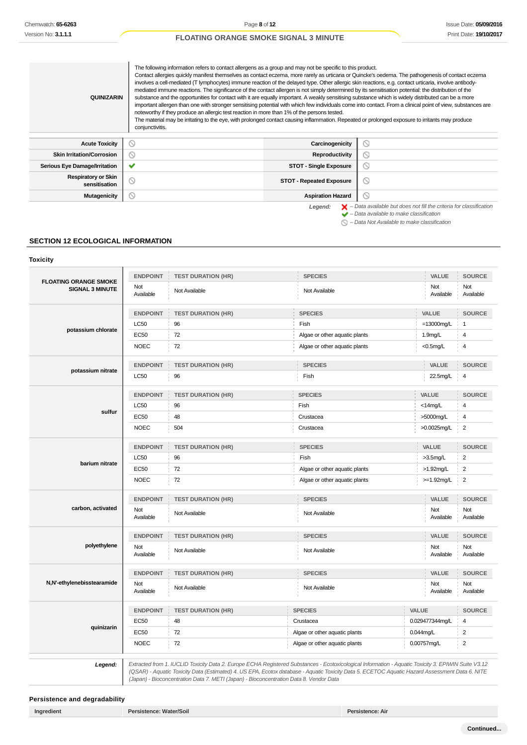| <b>QUINIZARIN</b>                           | The following information refers to contact allergens as a group and may not be specific to this product.<br>Contact allergies quickly manifest themselves as contact eczema, more rarely as urticaria or Quincke's oedema. The pathogenesis of contact eczema<br>involves a cell-mediated (T lymphocytes) immune reaction of the delayed type. Other allergic skin reactions, e.g. contact urticaria, involve antibody-<br>mediated immune reactions. The significance of the contact allergen is not simply determined by its sensitisation potential: the distribution of the<br>substance and the opportunities for contact with it are equally important. A weakly sensitising substance which is widely distributed can be a more<br>important allergen than one with stronger sensitising potential with which few individuals come into contact. From a clinical point of view, substances are<br>noteworthy if they produce an allergic test reaction in more than 1% of the persons tested.<br>The material may be irritating to the eye, with prolonged contact causing inflammation. Repeated or prolonged exposure to irritants may produce<br>conjunctivitis. |                                                                                                                                                           |
|---------------------------------------------|-----------------------------------------------------------------------------------------------------------------------------------------------------------------------------------------------------------------------------------------------------------------------------------------------------------------------------------------------------------------------------------------------------------------------------------------------------------------------------------------------------------------------------------------------------------------------------------------------------------------------------------------------------------------------------------------------------------------------------------------------------------------------------------------------------------------------------------------------------------------------------------------------------------------------------------------------------------------------------------------------------------------------------------------------------------------------------------------------------------------------------------------------------------------------------|-----------------------------------------------------------------------------------------------------------------------------------------------------------|
| <b>Acute Toxicity</b>                       | $\circ$<br>Carcinogenicity                                                                                                                                                                                                                                                                                                                                                                                                                                                                                                                                                                                                                                                                                                                                                                                                                                                                                                                                                                                                                                                                                                                                                  | $\infty$                                                                                                                                                  |
| <b>Skin Irritation/Corrosion</b>            | $\circledcirc$<br>Reproductivity                                                                                                                                                                                                                                                                                                                                                                                                                                                                                                                                                                                                                                                                                                                                                                                                                                                                                                                                                                                                                                                                                                                                            | ര                                                                                                                                                         |
| <b>Serious Eye Damage/Irritation</b>        | ✔<br><b>STOT - Single Exposure</b>                                                                                                                                                                                                                                                                                                                                                                                                                                                                                                                                                                                                                                                                                                                                                                                                                                                                                                                                                                                                                                                                                                                                          | $\circ$                                                                                                                                                   |
| <b>Respiratory or Skin</b><br>sensitisation | $\circledcirc$<br><b>STOT - Repeated Exposure</b>                                                                                                                                                                                                                                                                                                                                                                                                                                                                                                                                                                                                                                                                                                                                                                                                                                                                                                                                                                                                                                                                                                                           | $\circ$                                                                                                                                                   |
| Mutagenicity                                | $\circ$<br><b>Aspiration Hazard</b>                                                                                                                                                                                                                                                                                                                                                                                                                                                                                                                                                                                                                                                                                                                                                                                                                                                                                                                                                                                                                                                                                                                                         | ര                                                                                                                                                         |
|                                             | Legend:                                                                                                                                                                                                                                                                                                                                                                                                                                                                                                                                                                                                                                                                                                                                                                                                                                                                                                                                                                                                                                                                                                                                                                     | $\blacktriangleright$ - Data available but does not fill the criteria for classification<br>$\blacktriangleright$ - Data available to make classification |

– Data Not Available to make classification

# **SECTION 12 ECOLOGICAL INFORMATION**

| <b>FLOATING ORANGE SMOKE</b> | <b>ENDPOINT</b>  | <b>TEST DURATION (HR)</b> | <b>SPECIES</b>                |             | <b>VALUE</b>     | <b>SOURCE</b>           |
|------------------------------|------------------|---------------------------|-------------------------------|-------------|------------------|-------------------------|
| <b>SIGNAL 3 MINUTE</b>       | Not<br>Available | Not Available             | Not Available                 |             | Not<br>Available | Not<br>Available        |
|                              | <b>ENDPOINT</b>  | <b>TEST DURATION (HR)</b> | <b>SPECIES</b>                |             | VALUE            | <b>SOURCE</b>           |
|                              | <b>LC50</b>      | 96                        | Fish                          |             | $=13000$ mg/L    | $\overline{1}$          |
| potassium chlorate           | <b>EC50</b>      | 72                        | Algae or other aquatic plants |             | 1.9mg/L          | $\overline{\mathbf{4}}$ |
|                              | <b>NOEC</b>      | 72                        | Algae or other aquatic plants |             | $<$ 0.5mg/L      | $\overline{\mathbf{4}}$ |
|                              | <b>ENDPOINT</b>  | <b>TEST DURATION (HR)</b> | <b>SPECIES</b>                |             | VALUE            | <b>SOURCE</b>           |
| potassium nitrate            | <b>LC50</b>      | 96                        | Fish                          |             | 22.5mg/L         | 4                       |
|                              | <b>ENDPOINT</b>  | <b>TEST DURATION (HR)</b> | <b>SPECIES</b>                |             | VALUE            | <b>SOURCE</b>           |
|                              | <b>LC50</b>      | 96                        | Fish                          |             | $<$ 14mg/L       | $\overline{4}$          |
| sulfur                       | <b>EC50</b>      | 48                        | Crustacea                     |             | >5000mg/L        | 4                       |
|                              | <b>NOEC</b>      | 504                       | Crustacea                     |             | >0.0025mg/L      | 2                       |
|                              | <b>ENDPOINT</b>  | <b>TEST DURATION (HR)</b> | <b>SPECIES</b>                |             | <b>VALUE</b>     | <b>SOURCE</b>           |
| barium nitrate               | <b>LC50</b>      | 96                        | Fish                          |             | $>3.5$ mg/L      | $\overline{c}$          |
|                              | EC50             | 72                        | Algae or other aquatic plants |             | $>1.92$ mg/L     | $\overline{2}$          |
|                              | <b>NOEC</b>      | 72                        | Algae or other aquatic plants |             | $>=1.92$ mg/L    | 2                       |
|                              | <b>ENDPOINT</b>  | <b>TEST DURATION (HR)</b> | <b>SPECIES</b>                |             | VALUE            | <b>SOURCE</b>           |
| carbon, activated            | Not<br>Available | Not Available             | Not Available                 |             | Not<br>Available | Not<br>Available        |
|                              | <b>ENDPOINT</b>  | <b>TEST DURATION (HR)</b> | <b>SPECIES</b>                |             | VALUE            | <b>SOURCE</b>           |
| polyethylene                 | Not<br>Available | Not Available             | Not Available                 |             | Not<br>Available | Not<br>Available        |
|                              | <b>ENDPOINT</b>  | <b>TEST DURATION (HR)</b> | <b>SPECIES</b>                |             | VALUE            | <b>SOURCE</b>           |
| N,N'-ethylenebisstearamide   | Not<br>Available | Not Available             | Not Available                 |             | Not<br>Available | Not<br>Available        |
|                              | <b>ENDPOINT</b>  | <b>TEST DURATION (HR)</b> | <b>SPECIES</b>                | VALUE       |                  | <b>SOURCE</b>           |
|                              | <b>EC50</b>      | 48                        | Crustacea                     |             | 0.029477344mg/L  | 4                       |
| quinizarin                   | <b>EC50</b>      | 72                        | Algae or other aquatic plants | 0.044mg/L   |                  | 2                       |
|                              | <b>NOEC</b>      | 72                        | Algae or other aquatic plants | 0.00757mg/L |                  | $\overline{2}$          |

(Japan) - Bioconcentration Data 7. METI (Japan) - Bioconcentration Data 8. Vendor Data

**Persistence and degradability**

(QSAR) - Aquatic Toxicity Data (Estimated) 4. US EPA, Ecotox database - Aquatic Toxicity Data 5. ECETOC Aquatic Hazard Assessment Data 6. NITE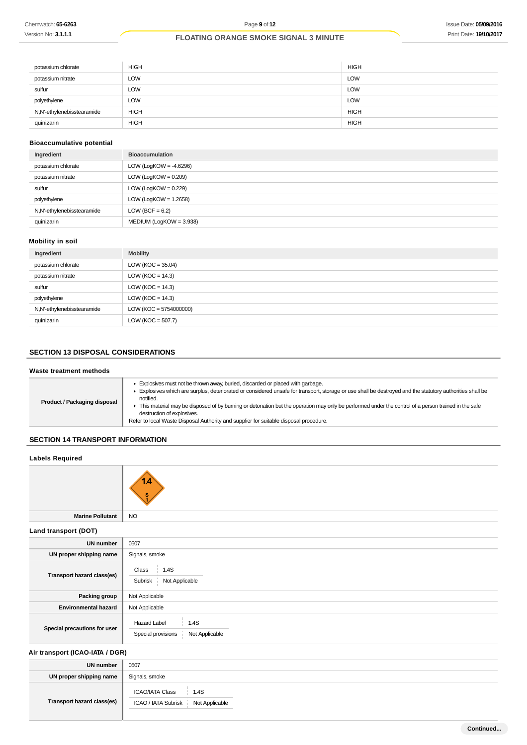| potassium chlorate         | <b>HIGH</b> | <b>HIGH</b> |
|----------------------------|-------------|-------------|
| potassium nitrate          | <b>LOW</b>  | <b>LOW</b>  |
| sulfur                     | <b>LOW</b>  | <b>LOW</b>  |
| polyethylene               | <b>LOW</b>  | <b>LOW</b>  |
| N,N'-ethylenebisstearamide | <b>HIGH</b> | <b>HIGH</b> |
| quinizarin                 | <b>HIGH</b> | <b>HIGH</b> |

# **Bioaccumulative potential**

| Ingredient                 | <b>Bioaccumulation</b>    |
|----------------------------|---------------------------|
| potassium chlorate         | LOW (LogKOW = $-4.6296$ ) |
| potassium nitrate          | LOW (LogKOW = $0.209$ )   |
| sulfur                     | LOW (LogKOW = $0.229$ )   |
| polyethylene               | LOW (LogKOW = $1.2658$ )  |
| N,N'-ethylenebisstearamide | LOW (BCF = $6.2$ )        |
| quinizarin                 | $MEDIUM (LogKOW = 3.938)$ |

# **Mobility in soil**

| Ingredient                 | <b>Mobility</b>          |
|----------------------------|--------------------------|
| potassium chlorate         | LOW (KOC = $35.04$ )     |
| potassium nitrate          | LOW ( $KOC = 14.3$ )     |
| sulfur                     | LOW ( $KOC = 14.3$ )     |
| polyethylene               | LOW ( $KOC = 14.3$ )     |
| N,N'-ethylenebisstearamide | $LOW (KOC = 5754000000)$ |
| quinizarin                 | LOW ( $KOC = 507.7$ )    |

# **SECTION 13 DISPOSAL CONSIDERATIONS**

| Waste treatment methods      |                                                                                                                                                                                                                                                                                                                                                                                                                                                                                                                                       |
|------------------------------|---------------------------------------------------------------------------------------------------------------------------------------------------------------------------------------------------------------------------------------------------------------------------------------------------------------------------------------------------------------------------------------------------------------------------------------------------------------------------------------------------------------------------------------|
| Product / Packaging disposal | Explosives must not be thrown away, buried, discarded or placed with garbage.<br>Explosives which are surplus, deteriorated or considered unsafe for transport, storage or use shall be destroyed and the statutory authorities shall be<br>notified.<br>F This material may be disposed of by burning or detonation but the operation may only be performed under the control of a person trained in the safe<br>destruction of explosives.<br>Refer to local Waste Disposal Authority and supplier for suitable disposal procedure. |

# **SECTION 14 TRANSPORT INFORMATION**

**Transport hazard class(es)**

ICAO/IATA Class | 1.4S ICAO / IATA Subrisk Not Applicable

| <b>Labels Required</b>          |                                                                     |
|---------------------------------|---------------------------------------------------------------------|
|                                 |                                                                     |
| <b>Marine Pollutant</b>         | <b>NO</b>                                                           |
| Land transport (DOT)            |                                                                     |
| <b>UN number</b>                | 0507                                                                |
| UN proper shipping name         | Signals, smoke                                                      |
| Transport hazard class(es)      | 1.4S<br>Class<br>Not Applicable<br>Subrisk i                        |
| Packing group                   | Not Applicable                                                      |
| <b>Environmental hazard</b>     | Not Applicable                                                      |
| Special precautions for user    | 1.4S<br><b>Hazard Label</b><br>Special provisions<br>Not Applicable |
| Air transport (ICAO-IATA / DGR) |                                                                     |
| <b>UN number</b>                | 0507                                                                |
| UN proper shipping name         | Signals, smoke                                                      |
|                                 |                                                                     |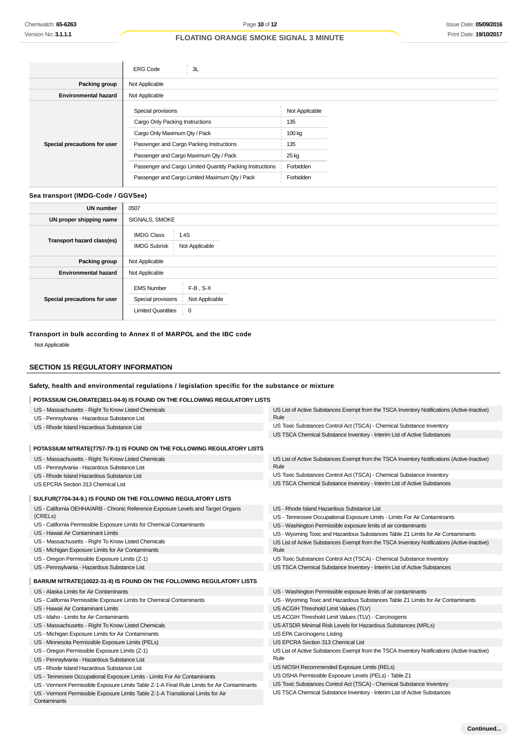# Issue Date: **05/09/2016** Print Date: **19/10/2017**

# **FLOATING ORANGE SMOKE SIGNAL 3 MINUTE**

|                              | <b>ERG Code</b><br>3L                                     |                |
|------------------------------|-----------------------------------------------------------|----------------|
| Packing group                | Not Applicable                                            |                |
| <b>Environmental hazard</b>  | Not Applicable                                            |                |
|                              | Special provisions                                        | Not Applicable |
|                              | Cargo Only Packing Instructions                           | 135            |
|                              | Cargo Only Maximum Qty / Pack                             | 100 kg         |
| Special precautions for user | Passenger and Cargo Packing Instructions                  | 135            |
|                              | Passenger and Cargo Maximum Qty / Pack                    | 25 kg          |
|                              | Passenger and Cargo Limited Quantity Packing Instructions | Forbidden      |
|                              | Passenger and Cargo Limited Maximum Qty / Pack            | Forbidden      |
|                              |                                                           |                |

#### **Sea transport (IMDG-Code / GGVSee)**

| <b>UN number</b>             | 0507                                                                                                                               |
|------------------------------|------------------------------------------------------------------------------------------------------------------------------------|
| UN proper shipping name      | SIGNALS, SMOKE                                                                                                                     |
| Transport hazard class(es)   | <b>IMDG Class</b><br>1.4S<br><b>IMDG Subrisk</b><br>Not Applicable                                                                 |
| Packing group                | Not Applicable                                                                                                                     |
| <b>Environmental hazard</b>  | Not Applicable                                                                                                                     |
| Special precautions for user | $F-B$ , $S-X$<br><b>EMS Number</b><br>Special provisions<br>Not Applicable<br><b>Limited Quantities</b><br>$\overline{\mathbf{0}}$ |

# **Transport in bulk according to Annex II of MARPOL and the IBC code**

Not Applicable

# **SECTION 15 REGULATORY INFORMATION**

# **Safety, health and environmental regulations / legislation specific for the substance or mixture**

#### **POTASSIUM CHLORATE(3811-04-9) IS FOUND ON THE FOLLOWING REGULATORY LISTS**

| US - Massachusetts - Right To Know Listed Chemicals                                              | US List of Active Substances Exempt from the TSCA Inventory Notifications (Active-Inactive) |
|--------------------------------------------------------------------------------------------------|---------------------------------------------------------------------------------------------|
| US - Pennsylvania - Hazardous Substance List                                                     | Rule                                                                                        |
| US - Rhode Island Hazardous Substance List                                                       | US Toxic Substances Control Act (TSCA) - Chemical Substance Inventory                       |
|                                                                                                  | US TSCA Chemical Substance Inventory - Interim List of Active Substances                    |
| POTASSIUM NITRATE(7757-79-1) IS FOUND ON THE FOLLOWING REGULATORY LISTS                          |                                                                                             |
| US - Massachusetts - Right To Know Listed Chemicals                                              | US List of Active Substances Exempt from the TSCA Inventory Notifications (Active-Inactive) |
| US - Pennsylvania - Hazardous Substance List                                                     | Rule                                                                                        |
| US - Rhode Island Hazardous Substance List                                                       | US Toxic Substances Control Act (TSCA) - Chemical Substance Inventory                       |
| US EPCRA Section 313 Chemical List                                                               | US TSCA Chemical Substance Inventory - Interim List of Active Substances                    |
| SULFUR(7704-34-9.) IS FOUND ON THE FOLLOWING REGULATORY LISTS                                    |                                                                                             |
| US - California OEHHA/ARB - Chronic Reference Exposure Levels and Target Organs                  | US - Rhode Island Hazardous Substance List                                                  |
| (CRELs)                                                                                          | US - Tennessee Occupational Exposure Limits - Limits For Air Contaminants                   |
| US - California Permissible Exposure Limits for Chemical Contaminants                            | US - Washington Permissible exposure limits of air contaminants                             |
| US - Hawaii Air Contaminant Limits                                                               | US - Wyoming Toxic and Hazardous Substances Table Z1 Limits for Air Contaminants            |
| US - Massachusetts - Right To Know Listed Chemicals                                              | US List of Active Substances Exempt from the TSCA Inventory Notifications (Active-Inactive) |
| US - Michigan Exposure Limits for Air Contaminants                                               | Rule                                                                                        |
| US - Oregon Permissible Exposure Limits (Z-1)                                                    | US Toxic Substances Control Act (TSCA) - Chemical Substance Inventory                       |
| US - Pennsylvania - Hazardous Substance List                                                     | US TSCA Chemical Substance Inventory - Interim List of Active Substances                    |
| BARIUM NITRATE(10022-31-8) IS FOUND ON THE FOLLOWING REGULATORY LISTS                            |                                                                                             |
| US - Alaska Limits for Air Contaminants                                                          | US - Washington Permissible exposure limits of air contaminants                             |
| US - California Permissible Exposure Limits for Chemical Contaminants                            | US - Wyoming Toxic and Hazardous Substances Table Z1 Limits for Air Contaminants            |
| US - Hawaii Air Contaminant Limits                                                               | US ACGIH Threshold Limit Values (TLV)                                                       |
| US - Idaho - Limits for Air Contaminants                                                         | US ACGIH Threshold Limit Values (TLV) - Carcinogens                                         |
| US - Massachusetts - Right To Know Listed Chemicals                                              | US ATSDR Minimal Risk Levels for Hazardous Substances (MRLs)                                |
| US - Michigan Exposure Limits for Air Contaminants                                               | US EPA Carcinogens Listing                                                                  |
| US - Minnesota Permissible Exposure Limits (PELs)                                                | US EPCRA Section 313 Chemical List                                                          |
| US - Oregon Permissible Exposure Limits (Z-1)                                                    | US List of Active Substances Exempt from the TSCA Inventory Notifications (Active-Inactive) |
| US - Pennsylvania - Hazardous Substance List                                                     | Rule                                                                                        |
| US - Rhode Island Hazardous Substance List                                                       | US NIOSH Recommended Exposure Limits (RELs)                                                 |
| US - Tennessee Occupational Exposure Limits - Limits For Air Contaminants                        | US OSHA Permissible Exposure Levels (PELs) - Table Z1                                       |
| US - Vermont Permissible Exposure Limits Table Z-1-A Final Rule Limits for Air Contaminants      | US Toxic Substances Control Act (TSCA) - Chemical Substance Inventory                       |
| US - Vermont Permissible Exposure Limits Table Z-1-A Transitional Limits for Air<br>Contaminants | US TSCA Chemical Substance Inventory - Interim List of Active Substances                    |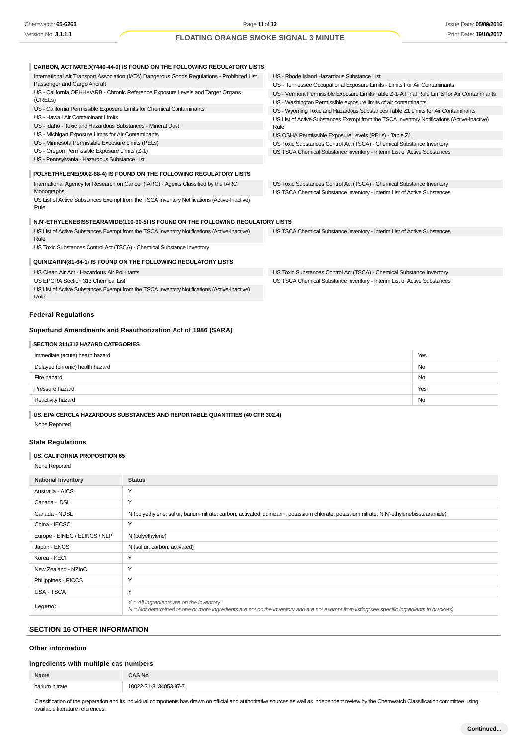| CARBON, ACTIVATED(7440-44-0) IS FOUND ON THE FOLLOWING REGULATORY LISTS                             |                                                                                                                                                   |           |
|-----------------------------------------------------------------------------------------------------|---------------------------------------------------------------------------------------------------------------------------------------------------|-----------|
| International Air Transport Association (IATA) Dangerous Goods Regulations - Prohibited List        | US - Rhode Island Hazardous Substance List                                                                                                        |           |
| Passenger and Cargo Aircraft                                                                        | US - Tennessee Occupational Exposure Limits - Limits For Air Contaminants                                                                         |           |
| US - California OEHHA/ARB - Chronic Reference Exposure Levels and Target Organs                     | US - Vermont Permissible Exposure Limits Table Z-1-A Final Rule Limits for Air Contaminants                                                       |           |
| (CRELs)                                                                                             | US - Washington Permissible exposure limits of air contaminants                                                                                   |           |
| US - California Permissible Exposure Limits for Chemical Contaminants                               | US - Wyoming Toxic and Hazardous Substances Table Z1 Limits for Air Contaminants                                                                  |           |
| US - Hawaii Air Contaminant Limits                                                                  | US List of Active Substances Exempt from the TSCA Inventory Notifications (Active-Inactive)                                                       |           |
| US - Idaho - Toxic and Hazardous Substances - Mineral Dust                                          | Rule                                                                                                                                              |           |
| US - Michigan Exposure Limits for Air Contaminants                                                  | US OSHA Permissible Exposure Levels (PELs) - Table Z1                                                                                             |           |
| US - Minnesota Permissible Exposure Limits (PELs)                                                   | US Toxic Substances Control Act (TSCA) - Chemical Substance Inventory                                                                             |           |
| US - Oregon Permissible Exposure Limits (Z-1)                                                       | US TSCA Chemical Substance Inventory - Interim List of Active Substances                                                                          |           |
| US - Pennsylvania - Hazardous Substance List                                                        |                                                                                                                                                   |           |
| POLYETHYLENE(9002-88-4) IS FOUND ON THE FOLLOWING REGULATORY LISTS                                  |                                                                                                                                                   |           |
| International Agency for Research on Cancer (IARC) - Agents Classified by the IARC<br>Monographs    | US Toxic Substances Control Act (TSCA) - Chemical Substance Inventory<br>US TSCA Chemical Substance Inventory - Interim List of Active Substances |           |
| US List of Active Substances Exempt from the TSCA Inventory Notifications (Active-Inactive)<br>Rule |                                                                                                                                                   |           |
| N,N'-ETHYLENEBISSTEARAMIDE(110-30-5) IS FOUND ON THE FOLLOWING REGULATORY LISTS                     |                                                                                                                                                   |           |
| US List of Active Substances Exempt from the TSCA Inventory Notifications (Active-Inactive)<br>Rule | US TSCA Chemical Substance Inventory - Interim List of Active Substances                                                                          |           |
| US Toxic Substances Control Act (TSCA) - Chemical Substance Inventory                               |                                                                                                                                                   |           |
| QUINIZARIN(81-64-1) IS FOUND ON THE FOLLOWING REGULATORY LISTS                                      |                                                                                                                                                   |           |
| US Clean Air Act - Hazardous Air Pollutants                                                         | US Toxic Substances Control Act (TSCA) - Chemical Substance Inventory                                                                             |           |
| US EPCRA Section 313 Chemical List                                                                  | US TSCA Chemical Substance Inventory - Interim List of Active Substances                                                                          |           |
| US List of Active Substances Exempt from the TSCA Inventory Notifications (Active-Inactive)<br>Rule |                                                                                                                                                   |           |
| <b>Federal Regulations</b>                                                                          |                                                                                                                                                   |           |
| Superfund Amendments and Reauthorization Act of 1986 (SARA)                                         |                                                                                                                                                   |           |
| SECTION 311/312 HAZARD CATEGORIES                                                                   |                                                                                                                                                   |           |
| Immediate (acute) health hazard                                                                     |                                                                                                                                                   | Yes       |
| Delayed (chronic) health hazard                                                                     |                                                                                                                                                   | <b>No</b> |
| Fire hazard                                                                                         |                                                                                                                                                   | <b>No</b> |
| Pressure hazard                                                                                     |                                                                                                                                                   | Yes       |
| Reactivity hazard                                                                                   |                                                                                                                                                   | No        |

**US. EPA CERCLA HAZARDOUS SUBSTANCES AND REPORTABLE QUANTITIES (40 CFR 302.4)**

None Reported

## **State Regulations**

# **US. CALIFORNIA PROPOSITION 65**

None Reported

| <b>National Inventory</b>     | <b>Status</b>                                                                                                                                                                                |
|-------------------------------|----------------------------------------------------------------------------------------------------------------------------------------------------------------------------------------------|
| Australia - AICS              | $\checkmark$                                                                                                                                                                                 |
| Canada - DSL                  | $\checkmark$                                                                                                                                                                                 |
| Canada - NDSL                 | N (polyethylene; sulfur; barium nitrate; carbon, activated; quinizarin; potassium chlorate; potassium nitrate; N,N'-ethylenebisstearamide)                                                   |
| China - IECSC                 | Y                                                                                                                                                                                            |
| Europe - EINEC / ELINCS / NLP | N (polyethylene)                                                                                                                                                                             |
| Japan - ENCS                  | N (sulfur; carbon, activated)                                                                                                                                                                |
| Korea - KECI                  | Y                                                                                                                                                                                            |
| New Zealand - NZIoC           | Y                                                                                                                                                                                            |
| Philippines - PICCS           | Y                                                                                                                                                                                            |
| USA - TSCA                    | Y                                                                                                                                                                                            |
| Legend:                       | $Y = All$ ingredients are on the inventory<br>$N = Not$ determined or one or more ingredients are not on the inventory and are not exempt from listing(see specific ingredients in brackets) |

# **SECTION 16 OTHER INFORMATION**

## **Other information**

# **Ingredients with multiple cas numbers**

| Name           | <b>CAS No</b> |
|----------------|---------------|
| harium nitrate | $3 - 87 - 7$  |

Classification of the preparation and its individual components has drawn on official and authoritative sources as well as independent review by the Chemwatch Classification committee using available literature references.